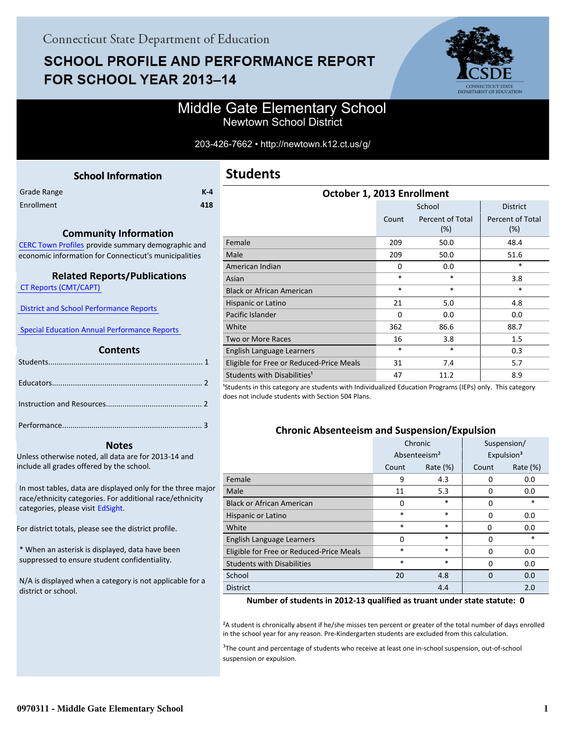# **SCHOOL PROFILE AND PERFORMANCE REPORT** FOR SCHOOL YEAR 2013-14



## Middle Gate Elementary School Newtown School District

#### 203-426-7662 • http://newtown.k12.ct.us/g/

<span id="page-0-0"></span>

|             | <b>School Information</b> |         |
|-------------|---------------------------|---------|
| Grade Range |                           | $K - 4$ |
| Enrollment  |                           | 418     |
|             |                           |         |

#### **Community Information**

[CERC Town Profiles provide summary demographic and](http://www.cerc.com/townprofiles/) economic information for Connecticut's municipalities

#### **Related Reports/Publications**

 [CT Reports \(CMT/CAPT\)](http://ctreports.com/) 

 [District and School Performance Reports](http://www.csde.state.ct.us/public/performancereports/reports.asp) 

 [Special Education Annual Performance Reports](http://sdeportal.ct.gov/Cedar/WEB/ResearchandReports/AnnualPerformanceReport.aspx) 

#### **Contents**

#### **Notes**

Unless otherwise noted, all data are for 2013-14 and include all grades offered by the school.

[In most tables, data are displayed only for the three major](http://edsight.ct.gov) race/ethnicity categories. For additional race/ethnicity categories, please visit EdSight.

For district totals, please see the district profile.

\* When an asterisk is displayed, data have been suppressed to ensure student confidentiality.

N/A is displayed when a category is not applicable for a district or school.

| October 1, 2013 Enrollment               |          |                            |                                   |  |  |
|------------------------------------------|----------|----------------------------|-----------------------------------|--|--|
|                                          |          | <b>District</b>            |                                   |  |  |
|                                          | Count    | Percent of Total<br>$(\%)$ | <b>Percent of Total</b><br>$(\%)$ |  |  |
| Female                                   | 209      | 50.0                       | 48.4                              |  |  |
| Male                                     | 209      | 50.0                       | 51.6                              |  |  |
| American Indian                          | 0        | 0.0                        | $\ast$                            |  |  |
| Asian                                    | $\ast$   | $\ast$                     | 3.8                               |  |  |
| <b>Black or African American</b>         | $\ast$   | $\ast$                     | $\ast$                            |  |  |
| Hispanic or Latino                       | 21       | 5.0                        | 4.8                               |  |  |
| Pacific Islander                         | $\Omega$ | 0.0                        | 0.0                               |  |  |
| White                                    | 362      | 86.6                       | 88.7                              |  |  |
| Two or More Races                        | 16       | 3.8                        | 1.5                               |  |  |
| English Language Learners                | $\ast$   | $\ast$                     | 0.3                               |  |  |
| Eligible for Free or Reduced-Price Meals | 31       | 7.4                        | 5.7                               |  |  |
| Students with Disabilities <sup>1</sup>  | 47       | 11.2                       | 8.9                               |  |  |

<sup>1</sup>Students in this category are students with Individualized Education Programs (IEPs) only. This category does not include students with Section 504 Plans.

#### **Chronic Absenteeism and Suspension/Expulsion**

|                                          | Chronic                  |             | Suspension/ |                        |  |
|------------------------------------------|--------------------------|-------------|-------------|------------------------|--|
|                                          | Absenteeism <sup>2</sup> |             |             | Expulsion <sup>3</sup> |  |
|                                          | Count                    | Rate $(\%)$ | Count       | Rate $(\%)$            |  |
| Female                                   | 9                        | 4.3         | 0           | 0.0                    |  |
| Male                                     | 11                       | 5.3         | O           | 0.0                    |  |
| <b>Black or African American</b>         | 0                        | $\ast$      | 0           | $\ast$                 |  |
| Hispanic or Latino                       | $\ast$<br>$\ast$         |             | $\Omega$    | 0.0                    |  |
| White                                    | $\ast$<br>$\ast$         |             | 0           | 0.0                    |  |
| English Language Learners                | $\Omega$                 | $\ast$      | U           | $\ast$                 |  |
| Eligible for Free or Reduced-Price Meals | $\ast$                   | $\ast$      | $\Omega$    | 0.0                    |  |
| <b>Students with Disabilities</b>        | $\ast$                   | $\ast$      | $\Omega$    | 0.0                    |  |
| School                                   | 20                       | 4.8         | $\Omega$    | 0.0                    |  |
| <b>District</b>                          | 4.4                      |             |             | 2.0                    |  |

#### **Number of students in 2012-13 qualified as truant under state statute: 0**

²A student is chronically absent if he/she misses ten percent or greater of the total number of days enrolled in the school year for any reason. Pre-Kindergarten students are excluded from this calculation.

<sup>3</sup>The count and percentage of students who receive at least one in-school suspension, out-of-school suspension or expulsion.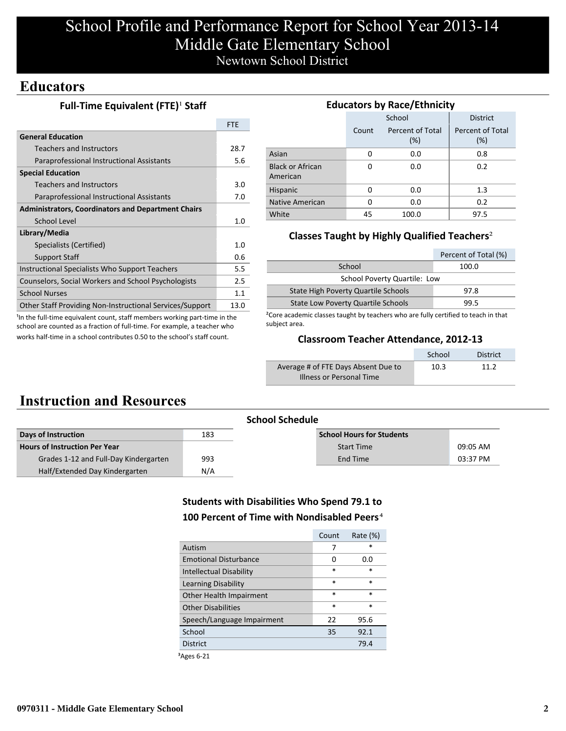# School Profile and Performance Report for School Year 2013-14 Middle Gate Elementary School Newtown School District

### **Educators**

#### **Full-Time Equivalent (FTE)<sup>1</sup> Staff**

|                                                           | <b>FTF</b> |
|-----------------------------------------------------------|------------|
| <b>General Education</b>                                  |            |
| Teachers and Instructors                                  | 28.7       |
| Paraprofessional Instructional Assistants                 | 5.6        |
| <b>Special Education</b>                                  |            |
| Teachers and Instructors                                  | 3.0        |
| Paraprofessional Instructional Assistants                 | 7.0        |
| <b>Administrators, Coordinators and Department Chairs</b> |            |
| School Level                                              | 1.0        |
| Library/Media                                             |            |
| Specialists (Certified)                                   | 1.0        |
| <b>Support Staff</b>                                      | 0.6        |
| Instructional Specialists Who Support Teachers            | 5.5        |
| Counselors, Social Workers and School Psychologists       | 2.5        |
| <b>School Nurses</b>                                      | 1.1        |
| Other Staff Providing Non-Instructional Services/Support  | 13.0       |

<sup>1</sup>In the full-time equivalent count, staff members working part-time in the school are counted as a fraction of full-time. For example, a teacher who works half-time in a school contributes 0.50 to the school's staff count.

#### **Educators by Race/Ethnicity**

|                                     |          | School                     | <b>District</b>         |  |  |
|-------------------------------------|----------|----------------------------|-------------------------|--|--|
|                                     | Count    | Percent of Total<br>$(\%)$ | Percent of Total<br>(%) |  |  |
| Asian                               | 0        | 0.0                        | 0.8                     |  |  |
| <b>Black or African</b><br>American | 0        | 0.0                        | 0.2                     |  |  |
| Hispanic                            | 0        | 0.0                        | 1.3                     |  |  |
| Native American                     | $\Omega$ | 0.0                        | 0.2                     |  |  |
| White                               | 45       | 100.0                      | 97.5                    |  |  |

### **Classes Taught by Highly Qualified Teachers**²

| Percent of Total (%)                      |       |  |  |
|-------------------------------------------|-------|--|--|
| School                                    | 100.0 |  |  |
| School Poverty Quartile: Low              |       |  |  |
| State High Poverty Quartile Schools       | 97.8  |  |  |
| <b>State Low Poverty Quartile Schools</b> | 99.5  |  |  |

²Core academic classes taught by teachers who are fully certified to teach in that subject area.

#### **Classroom Teacher Attendance, 2012-13**

|                                     | School | <b>District</b> |
|-------------------------------------|--------|-----------------|
| Average # of FTE Days Absent Due to | 10.3   | 11 2            |
| Illness or Personal Time            |        |                 |

## **Instruction and Resources**

| <b>School Schedule</b>                |     |                                  |          |  |  |
|---------------------------------------|-----|----------------------------------|----------|--|--|
| Days of Instruction                   | 183 | <b>School Hours for Students</b> |          |  |  |
| <b>Hours of Instruction Per Year</b>  |     | <b>Start Time</b>                | 09:05 AM |  |  |
| Grades 1-12 and Full-Day Kindergarten | 993 | End Time                         | 03:37 PM |  |  |
| Half/Extended Day Kindergarten        | N/A |                                  |          |  |  |

### **Students with Disabilities Who Spend 79.1 to 100 Percent of Time with Nondisabled Peers**⁴

|                                | Count  | Rate $(\%)$ |
|--------------------------------|--------|-------------|
| Autism                         | 7      | $\star$     |
| <b>Emotional Disturbance</b>   | 0      | 0.O         |
| <b>Intellectual Disability</b> | $\ast$ | $\ast$      |
| Learning Disability            | $\ast$ | $\ast$      |
| Other Health Impairment        | $\ast$ | $\ast$      |
| <b>Other Disabilities</b>      | $\ast$ | $\ast$      |
| Speech/Language Impairment     | 22     | 95.6        |
| School                         | 35     | 92.1        |
| <b>District</b>                |        | 79.4        |
|                                |        |             |

³Ages 6-21